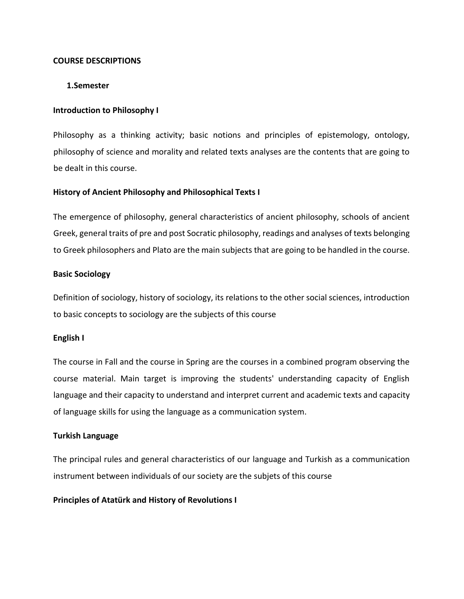## **COURSE DESCRIPTIONS**

## **1.Semester**

## **Introduction to Philosophy I**

Philosophy as a thinking activity; basic notions and principles of epistemology, ontology, philosophy of science and morality and related texts analyses are the contents that are going to be dealt in this course.

## **History of Ancient Philosophy and Philosophical Texts I**

The emergence of philosophy, general characteristics of ancient philosophy, schools of ancient Greek, general traits of pre and post Socratic philosophy, readings and analyses of texts belonging to Greek philosophers and Plato are the main subjects that are going to be handled in the course.

## **Basic Sociology**

Definition of sociology, history of sociology, its relations to the other social sciences, introduction to basic concepts to sociology are the subjects of this course

## **English I**

The course in Fall and the course in Spring are the courses in a combined program observing the course material. Main target is improving the students' understanding capacity of English language and their capacity to understand and interpret current and academic texts and capacity of language skills for using the language as a communication system.

## **Turkish Language**

The principal rules and general characteristics of our language and Turkish as a communication instrument between individuals of our society are the subjets of this course

## **Principles of Atatürk and History of Revolutions I**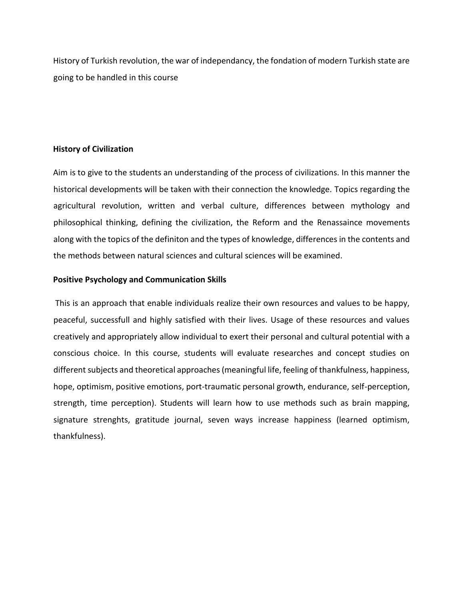History of Turkish revolution, the war of independancy, the fondation of modern Turkish state are going to be handled in this course

## **History of Civilization**

Aim is to give to the students an understanding of the process of civilizations. In this manner the historical developments will be taken with their connection the knowledge. Topics regarding the agricultural revolution, written and verbal culture, differences between mythology and philosophical thinking, defining the civilization, the Reform and the Renassaince movements along with the topics of the definiton and the types of knowledge, differences in the contents and the methods between natural sciences and cultural sciences will be examined.

#### **Positive Psychology and Communication Skills**

This is an approach that enable individuals realize their own resources and values to be happy, peaceful, successfull and highly satisfied with their lives. Usage of these resources and values creatively and appropriately allow individual to exert their personal and cultural potential with a conscious choice. In this course, students will evaluate researches and concept studies on different subjects and theoretical approaches (meaningful life, feeling of thankfulness, happiness, hope, optimism, positive emotions, port-traumatic personal growth, endurance, self-perception, strength, time perception). Students will learn how to use methods such as brain mapping, signature strenghts, gratitude journal, seven ways increase happiness (learned optimism, thankfulness).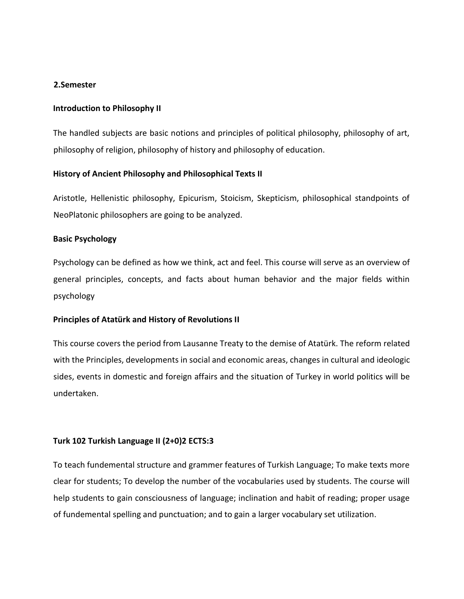## **2.Semester**

## **Introduction to Philosophy II**

The handled subjects are basic notions and principles of political philosophy, philosophy of art, philosophy of religion, philosophy of history and philosophy of education.

## **History of Ancient Philosophy and Philosophical Texts II**

Aristotle, Hellenistic philosophy, Epicurism, Stoicism, Skepticism, philosophical standpoints of NeoPlatonic philosophers are going to be analyzed.

## **Basic Psychology**

Psychology can be defined as how we think, act and feel. This course will serve as an overview of general principles, concepts, and facts about human behavior and the major fields within psychology

## **Principles of Atatürk and History of Revolutions II**

This course covers the period from Lausanne Treaty to the demise of Atatürk. The reform related with the Principles, developments in social and economic areas, changes in cultural and ideologic sides, events in domestic and foreign affairs and the situation of Turkey in world politics will be undertaken.

# **Turk 102 Turkish Language II (2+0)2 ECTS:3**

To teach fundemental structure and grammer features of Turkish Language; To make texts more clear for students; To develop the number of the vocabularies used by students. The course will help students to gain consciousness of language; inclination and habit of reading; proper usage of fundemental spelling and punctuation; and to gain a larger vocabulary set utilization.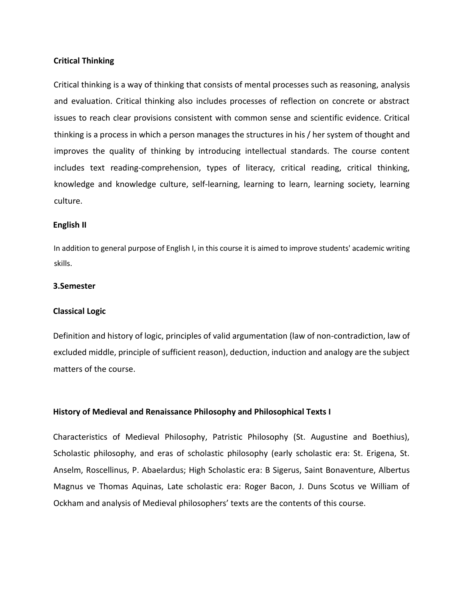#### **Critical Thinking**

Critical thinking is a way of thinking that consists of mental processes such as reasoning, analysis and evaluation. Critical thinking also includes processes of reflection on concrete or abstract issues to reach clear provisions consistent with common sense and scientific evidence. Critical thinking is a process in which a person manages the structures in his / her system of thought and improves the quality of thinking by introducing intellectual standards. The course content includes text reading-comprehension, types of literacy, critical reading, critical thinking, knowledge and knowledge culture, self-learning, learning to learn, learning society, learning culture.

#### **English II**

In addition to general purpose of English I, in this course it is aimed to improve students' academic writing skills.

## **3.Semester**

#### **Classical Logic**

Definition and history of logic, principles of valid argumentation (law of non-contradiction, law of excluded middle, principle of sufficient reason), deduction, induction and analogy are the subject matters of the course.

## **History of Medieval and Renaissance Philosophy and Philosophical Texts I**

Characteristics of Medieval Philosophy, Patristic Philosophy (St. Augustine and Boethius), Scholastic philosophy, and eras of scholastic philosophy (early scholastic era: St. Erigena, St. Anselm, Roscellinus, P. Abaelardus; High Scholastic era: B Sigerus, Saint Bonaventure, Albertus Magnus ve Thomas Aquinas, Late scholastic era: Roger Bacon, J. Duns Scotus ve William of Ockham and analysis of Medieval philosophers' texts are the contents of this course.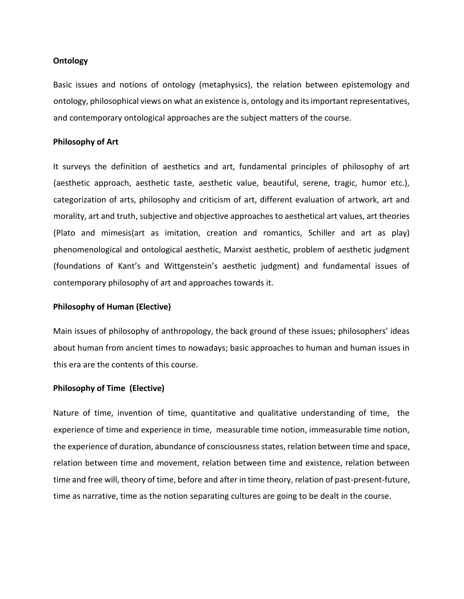#### **Ontology**

Basic issues and notions of ontology (metaphysics), the relation between epistemology and ontology, philosophical views on what an existence is, ontology and its important representatives, and contemporary ontological approaches are the subject matters of the course.

#### **Philosophy of Art**

It surveys the definition of aesthetics and art, fundamental principles of philosophy of art (aesthetic approach, aesthetic taste, aesthetic value, beautiful, serene, tragic, humor etc.), categorization of arts, philosophy and criticism of art, different evaluation of artwork, art and morality, art and truth, subjective and objective approaches to aesthetical art values, art theories (Plato and mimesis(art as imitation, creation and romantics, Schiller and art as play) phenomenological and ontological aesthetic, Marxist aesthetic, problem of aesthetic judgment (foundations of Kant's and Wittgenstein's aesthetic judgment) and fundamental issues of contemporary philosophy of art and approaches towards it.

#### **Philosophy of Human (Elective)**

Main issues of philosophy of anthropology, the back ground of these issues; philosophers' ideas about human from ancient times to nowadays; basic approaches to human and human issues in this era are the contents of this course.

#### **Philosophy of Time (Elective)**

Nature of time, invention of time, quantitative and qualitative understanding of time, the experience of time and experience in time, measurable time notion, immeasurable time notion, the experience of duration, abundance of consciousness states, relation between time and space, relation between time and movement, relation between time and existence, relation between time and free will, theory of time, before and after in time theory, relation of past-present-future, time as narrative, time as the notion separating cultures are going to be dealt in the course.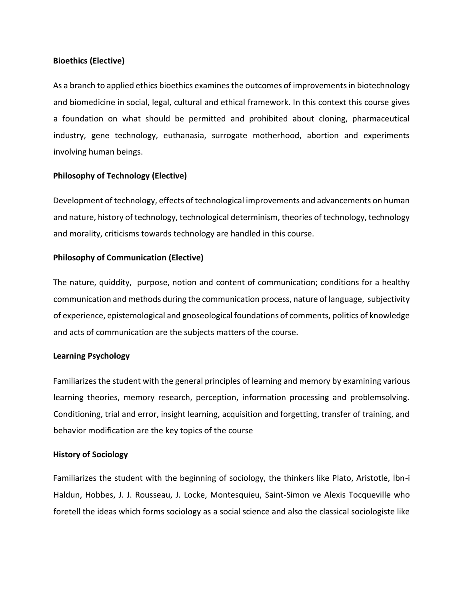# **Bioethics (Elective)**

As a branch to applied ethics bioethics examines the outcomes of improvements in biotechnology and biomedicine in social, legal, cultural and ethical framework. In this context this course gives a foundation on what should be permitted and prohibited about cloning, pharmaceutical industry, gene technology, euthanasia, surrogate motherhood, abortion and experiments involving human beings.

# **Philosophy of Technology (Elective)**

Development of technology, effects of technological improvements and advancements on human and nature, history of technology, technological determinism, theories of technology, technology and morality, criticisms towards technology are handled in this course.

## **Philosophy of Communication (Elective)**

The nature, quiddity, purpose, notion and content of communication; conditions for a healthy communication and methods during the communication process, nature of language, subjectivity of experience, epistemological and gnoseological foundations of comments, politics of knowledge and acts of communication are the subjects matters of the course.

# **Learning Psychology**

Familiarizes the student with the general principles of learning and memory by examining various learning theories, memory research, perception, information processing and problemsolving. Conditioning, trial and error, insight learning, acquisition and forgetting, transfer of training, and behavior modification are the key topics of the course

## **History of Sociology**

Familiarizes the student with the beginning of sociology, the thinkers like Plato, Aristotle, İbn-i Haldun, Hobbes, J. J. Rousseau, J. Locke, Montesquieu, Saint-Simon ve Alexis Tocqueville who foretell the ideas which forms sociology as a social science and also the classical sociologiste like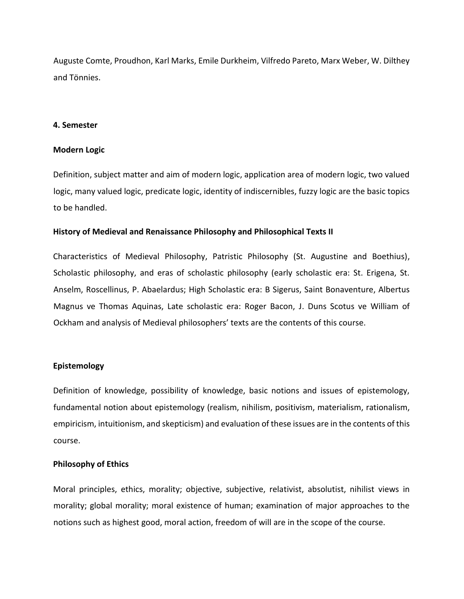Auguste Comte, Proudhon, Karl Marks, Emile Durkheim, Vilfredo Pareto, Marx Weber, W. Dilthey and Tönnies.

#### **4. Semester**

#### **Modern Logic**

Definition, subject matter and aim of modern logic, application area of modern logic, two valued logic, many valued logic, predicate logic, identity of indiscernibles, fuzzy logic are the basic topics to be handled.

#### **History of Medieval and Renaissance Philosophy and Philosophical Texts II**

Characteristics of Medieval Philosophy, Patristic Philosophy (St. Augustine and Boethius), Scholastic philosophy, and eras of scholastic philosophy (early scholastic era: St. Erigena, St. Anselm, Roscellinus, P. Abaelardus; High Scholastic era: B Sigerus, Saint Bonaventure, Albertus Magnus ve Thomas Aquinas, Late scholastic era: Roger Bacon, J. Duns Scotus ve William of Ockham and analysis of Medieval philosophers' texts are the contents of this course.

## **Epistemology**

Definition of knowledge, possibility of knowledge, basic notions and issues of epistemology, fundamental notion about epistemology (realism, nihilism, positivism, materialism, rationalism, empiricism, intuitionism, and skepticism) and evaluation of these issues are in the contents of this course.

#### **Philosophy of Ethics**

Moral principles, ethics, morality; objective, subjective, relativist, absolutist, nihilist views in morality; global morality; moral existence of human; examination of major approaches to the notions such as highest good, moral action, freedom of will are in the scope of the course.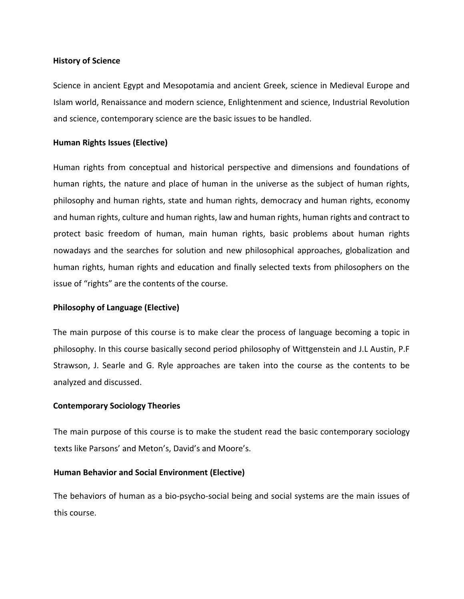#### **History of Science**

Science in ancient Egypt and Mesopotamia and ancient Greek, science in Medieval Europe and Islam world, Renaissance and modern science, Enlightenment and science, Industrial Revolution and science, contemporary science are the basic issues to be handled.

#### **Human Rights Issues (Elective)**

Human rights from conceptual and historical perspective and dimensions and foundations of human rights, the nature and place of human in the universe as the subject of human rights, philosophy and human rights, state and human rights, democracy and human rights, economy and human rights, culture and human rights, law and human rights, human rights and contract to protect basic freedom of human, main human rights, basic problems about human rights nowadays and the searches for solution and new philosophical approaches, globalization and human rights, human rights and education and finally selected texts from philosophers on the issue of "rights" are the contents of the course.

## **Philosophy of Language (Elective)**

The main purpose of this course is to make clear the process of language becoming a topic in philosophy. In this course basically second period philosophy of Wittgenstein and J.L Austin, P.F Strawson, J. Searle and G. Ryle approaches are taken into the course as the contents to be analyzed and discussed.

#### **Contemporary Sociology Theories**

The main purpose of this course is to make the student read the basic contemporary sociology texts like Parsons' and Meton's, David's and Moore's.

## **Human Behavior and Social Environment (Elective)**

The behaviors of human as a bio-psycho-social being and social systems are the main issues of this course.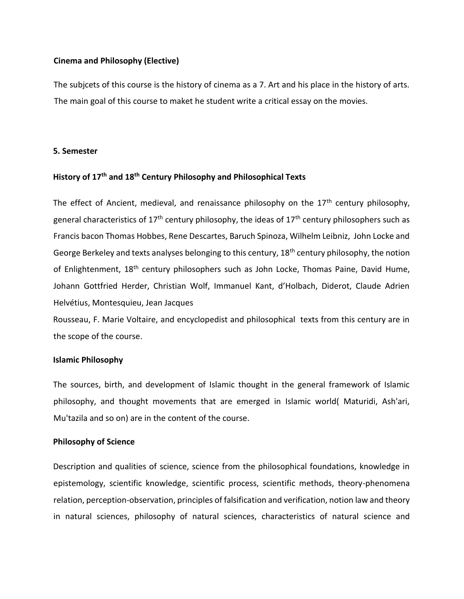## **Cinema and Philosophy (Elective)**

The subjcets of this course is the history of cinema as a 7. Art and his place in the history of arts. The main goal of this course to maket he student write a critical essay on the movies.

## **5. Semester**

# **History of 17th and 18th Century Philosophy and Philosophical Texts**

The effect of Ancient, medieval, and renaissance philosophy on the  $17<sup>th</sup>$  century philosophy, general characteristics of  $17<sup>th</sup>$  century philosophy, the ideas of  $17<sup>th</sup>$  century philosophers such as Francis bacon Thomas Hobbes, Rene Descartes, Baruch Spinoza, Wilhelm Leibniz, John Locke and George Berkeley and texts analyses belonging to this century, 18<sup>th</sup> century philosophy, the notion of Enlightenment, 18<sup>th</sup> century philosophers such as John Locke, Thomas Paine, David Hume, Johann Gottfried Herder, Christian Wolf, Immanuel Kant, d'Holbach, Diderot, Claude Adrien Helvétius, Montesquieu, Jean Jacques

Rousseau, F. Marie Voltaire, and encyclopedist and philosophical texts from this century are in the scope of the course.

## **Islamic Philosophy**

The sources, birth, and development of Islamic thought in the general framework of Islamic philosophy, and thought movements that are emerged in Islamic world( Maturidi, Ash'ari, Mu'tazila and so on) are in the content of the course.

## **Philosophy of Science**

Description and qualities of science, science from the philosophical foundations, knowledge in epistemology, scientific knowledge, scientific process, scientific methods, theory-phenomena relation, perception-observation, principles of falsification and verification, notion law and theory in natural sciences, philosophy of natural sciences, characteristics of natural science and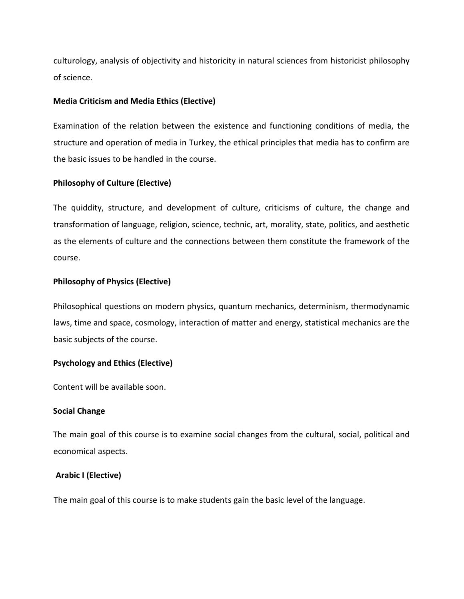culturology, analysis of objectivity and historicity in natural sciences from historicist philosophy of science.

## **Media Criticism and Media Ethics (Elective)**

Examination of the relation between the existence and functioning conditions of media, the structure and operation of media in Turkey, the ethical principles that media has to confirm are the basic issues to be handled in the course.

# **Philosophy of Culture (Elective)**

The quiddity, structure, and development of culture, criticisms of culture, the change and transformation of language, religion, science, technic, art, morality, state, politics, and aesthetic as the elements of culture and the connections between them constitute the framework of the course.

## **Philosophy of Physics (Elective)**

Philosophical questions on modern physics, quantum mechanics, determinism, thermodynamic laws, time and space, cosmology, interaction of matter and energy, statistical mechanics are the basic subjects of the course.

## **Psychology and Ethics (Elective)**

Content will be available soon.

## **Social Change**

The main goal of this course is to examine social changes from the cultural, social, political and economical aspects.

## **Arabic I (Elective)**

The main goal of this course is to make students gain the basic level of the language.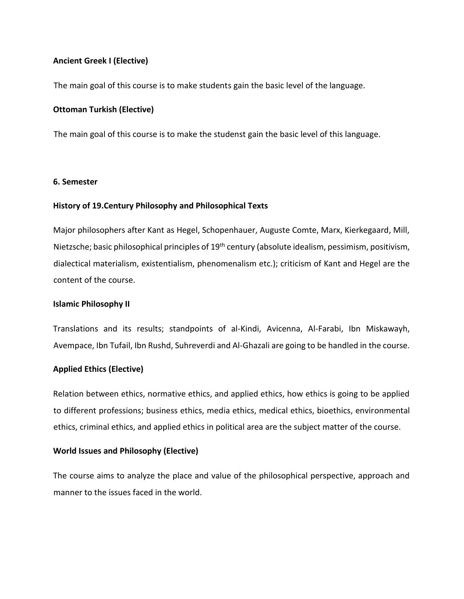# **Ancient Greek I (Elective)**

The main goal of this course is to make students gain the basic level of the language.

# **Ottoman Turkish (Elective)**

The main goal of this course is to make the studenst gain the basic level of this language.

# **6. Semester**

# **History of 19.Century Philosophy and Philosophical Texts**

Major philosophers after Kant as Hegel, Schopenhauer, Auguste Comte, Marx, Kierkegaard, Mill, Nietzsche; basic philosophical principles of 19<sup>th</sup> century (absolute idealism, pessimism, positivism, dialectical materialism, existentialism, phenomenalism etc.); criticism of Kant and Hegel are the content of the course.

# **Islamic Philosophy II**

Translations and its results; standpoints of al-Kindi, Avicenna, Al-Farabi, Ibn Miskawayh, Avempace, Ibn Tufail, Ibn Rushd, Suhreverdi and Al-Ghazali are going to be handled in the course.

# **Applied Ethics (Elective)**

Relation between ethics, normative ethics, and applied ethics, how ethics is going to be applied to different professions; business ethics, media ethics, medical ethics, bioethics, environmental ethics, criminal ethics, and applied ethics in political area are the subject matter of the course.

# **World Issues and Philosophy (Elective)**

The course aims to analyze the place and value of the philosophical perspective, approach and manner to the issues faced in the world.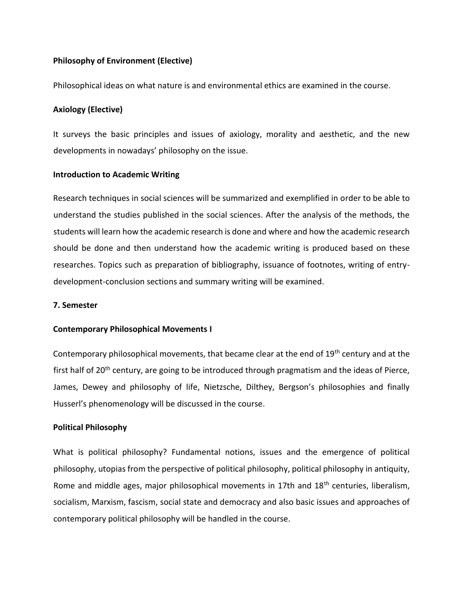# **Philosophy of Environment (Elective)**

Philosophical ideas on what nature is and environmental ethics are examined in the course.

# **Axiology (Elective)**

It surveys the basic principles and issues of axiology, morality and aesthetic, and the new developments in nowadays' philosophy on the issue.

# **Introduction to Academic Writing**

Research techniques in social sciences will be summarized and exemplified in order to be able to understand the studies published in the social sciences. After the analysis of the methods, the students will learn how the academic research is done and where and how the academic research should be done and then understand how the academic writing is produced based on these researches. Topics such as preparation of bibliography, issuance of footnotes, writing of entrydevelopment-conclusion sections and summary writing will be examined.

# **7. Semester**

# **Contemporary Philosophical Movements I**

Contemporary philosophical movements, that became clear at the end of 19<sup>th</sup> century and at the first half of 20<sup>th</sup> century, are going to be introduced through pragmatism and the ideas of Pierce, James, Dewey and philosophy of life, Nietzsche, Dilthey, Bergson's philosophies and finally Husserl's phenomenology will be discussed in the course.

# **Political Philosophy**

What is political philosophy? Fundamental notions, issues and the emergence of political philosophy, utopias from the perspective of political philosophy, political philosophy in antiquity, Rome and middle ages, major philosophical movements in 17th and 18<sup>th</sup> centuries, liberalism, socialism, Marxism, fascism, social state and democracy and also basic issues and approaches of contemporary political philosophy will be handled in the course.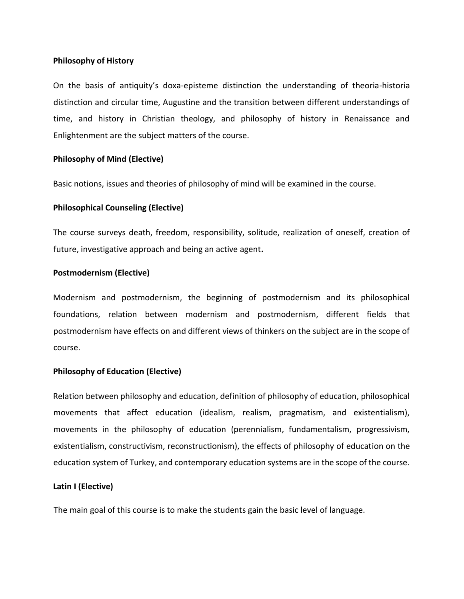## **Philosophy of History**

On the basis of antiquity's doxa-episteme distinction the understanding of theoria-historia distinction and circular time, Augustine and the transition between different understandings of time, and history in Christian theology, and philosophy of history in Renaissance and Enlightenment are the subject matters of the course.

#### **Philosophy of Mind (Elective)**

Basic notions, issues and theories of philosophy of mind will be examined in the course.

#### **Philosophical Counseling (Elective)**

The course surveys death, freedom, responsibility, solitude, realization of oneself, creation of future, investigative approach and being an active agent**.** 

#### **Postmodernism (Elective)**

Modernism and postmodernism, the beginning of postmodernism and its philosophical foundations, relation between modernism and postmodernism, different fields that postmodernism have effects on and different views of thinkers on the subject are in the scope of course.

## **Philosophy of Education (Elective)**

Relation between philosophy and education, definition of philosophy of education, philosophical movements that affect education (idealism, realism, pragmatism, and existentialism), movements in the philosophy of education (perennialism, fundamentalism, progressivism, existentialism, constructivism, reconstructionism), the effects of philosophy of education on the education system of Turkey, and contemporary education systems are in the scope of the course.

#### **Latin I (Elective)**

The main goal of this course is to make the students gain the basic level of language.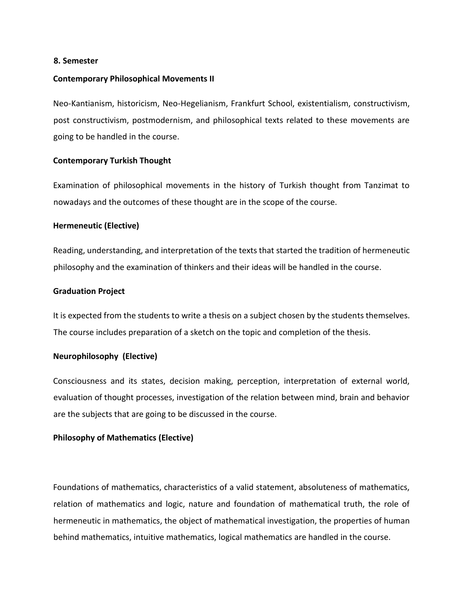#### **8. Semester**

#### **Contemporary Philosophical Movements II**

Neo-Kantianism, historicism, Neo-Hegelianism, Frankfurt School, existentialism, constructivism, post constructivism, postmodernism, and philosophical texts related to these movements are going to be handled in the course.

#### **Contemporary Turkish Thought**

Examination of philosophical movements in the history of Turkish thought from Tanzimat to nowadays and the outcomes of these thought are in the scope of the course.

#### **Hermeneutic (Elective)**

Reading, understanding, and interpretation of the texts that started the tradition of hermeneutic philosophy and the examination of thinkers and their ideas will be handled in the course.

#### **Graduation Project**

It is expected from the students to write a thesis on a subject chosen by the students themselves. The course includes preparation of a sketch on the topic and completion of the thesis.

#### **Neurophilosophy (Elective)**

Consciousness and its states, decision making, perception, interpretation of external world, evaluation of thought processes, investigation of the relation between mind, brain and behavior are the subjects that are going to be discussed in the course.

#### **Philosophy of Mathematics (Elective)**

Foundations of mathematics, characteristics of a valid statement, absoluteness of mathematics, relation of mathematics and logic, nature and foundation of mathematical truth, the role of hermeneutic in mathematics, the object of mathematical investigation, the properties of human behind mathematics, intuitive mathematics, logical mathematics are handled in the course.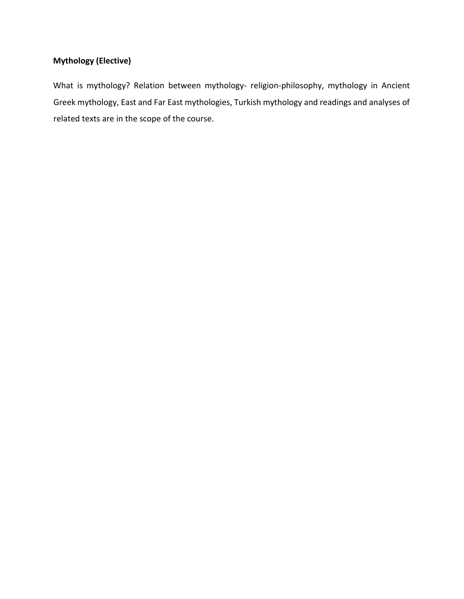# **Mythology (Elective)**

What is mythology? Relation between mythology- religion-philosophy, mythology in Ancient Greek mythology, East and Far East mythologies, Turkish mythology and readings and analyses of related texts are in the scope of the course.